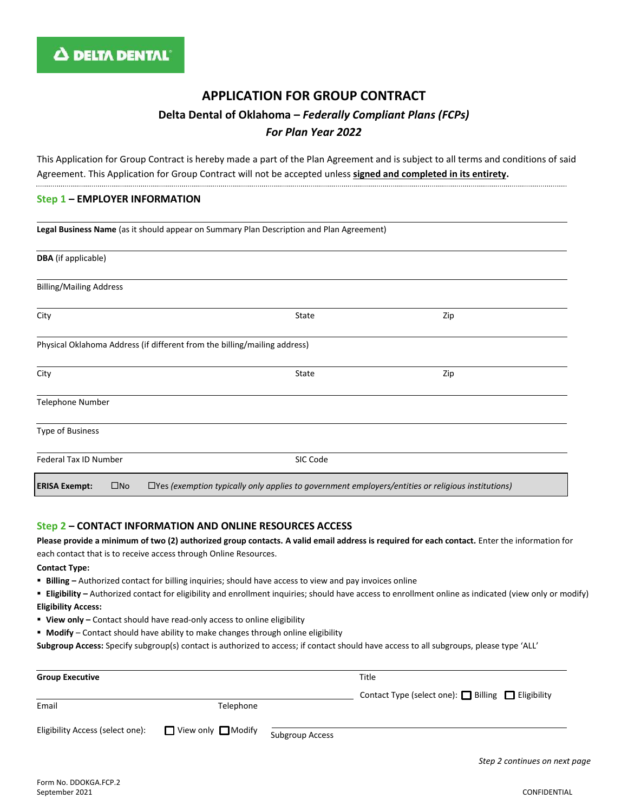# **APPLICATION FOR GROUP CONTRACT Delta Dental of Oklahoma –** *Federally Compliant Plans (FCPs) For Plan Year 2022*

This Application for Group Contract is hereby made a part of the Plan Agreement and is subject to all terms and conditions of said Agreement. This Application for Group Contract will not be accepted unless **signed and completed in its entirety.** 

#### **Step 1 – EMPLOYER INFORMATION**

|                                                                           | Legal Business Name (as it should appear on Summary Plan Description and Plan Agreement)                 |     |  |  |  |
|---------------------------------------------------------------------------|----------------------------------------------------------------------------------------------------------|-----|--|--|--|
| <b>DBA</b> (if applicable)                                                |                                                                                                          |     |  |  |  |
| <b>Billing/Mailing Address</b>                                            |                                                                                                          |     |  |  |  |
| City                                                                      | State                                                                                                    | Zip |  |  |  |
| Physical Oklahoma Address (if different from the billing/mailing address) |                                                                                                          |     |  |  |  |
| City                                                                      | State                                                                                                    | Zip |  |  |  |
| Telephone Number                                                          |                                                                                                          |     |  |  |  |
| Type of Business                                                          |                                                                                                          |     |  |  |  |
| Federal Tax ID Number                                                     | SIC Code                                                                                                 |     |  |  |  |
| $\square$ No<br><b>ERISA Exempt:</b>                                      | $\Box$ Yes (exemption typically only applies to government employers/entities or religious institutions) |     |  |  |  |

## **Step 2 – CONTACT INFORMATION AND ONLINE RESOURCES ACCESS**

**Please provide a minimum of two (2) authorized group contacts. A valid email address is required for each contact.** Enter the information for each contact that is to receive access through Online Resources.

**Contact Type:**

- **Billing –** Authorized contact for billing inquiries; should have access to view and pay invoices online
- **Eligibility –** Authorized contact for eligibility and enrollment inquiries; should have access to enrollment online as indicated (view only or modify) **Eligibility Access:**
- **View only -** Contact should have read-only access to online eligibility
- **Modify**  Contact should have ability to make changes through online eligibility

**Subgroup Access:** Specify subgroup(s) contact is authorized to access; if contact should have access to all subgroups, please type 'ALL'

| <b>Group Executive</b>           |                  |                 | Title                                              |
|----------------------------------|------------------|-----------------|----------------------------------------------------|
|                                  |                  |                 | Contact Type (select one): □ Billing □ Eligibility |
| Email                            | Telephone        |                 |                                                    |
| Eligibility Access (select one): | View only Modify | Subgroup Access |                                                    |

*Step 2 continues on next page*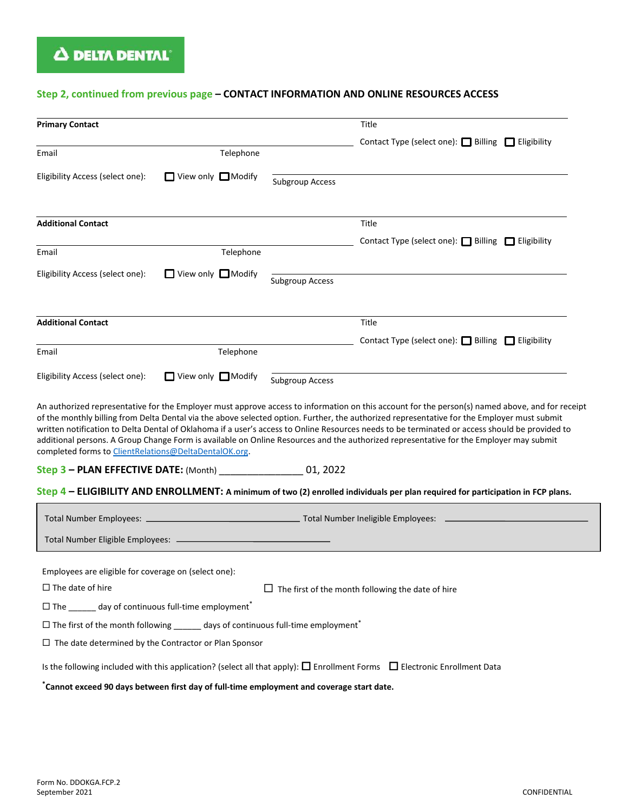# **Step 2, continued from previous page – CONTACT INFORMATION AND ONLINE RESOURCES ACCESS**

| <b>Primary Contact</b>                                                                                                                                                                                                                                                                                                                                                                                                                                                                                                                                                                                                                              |                                |                        | Title                                                                                                                            |  |  |
|-----------------------------------------------------------------------------------------------------------------------------------------------------------------------------------------------------------------------------------------------------------------------------------------------------------------------------------------------------------------------------------------------------------------------------------------------------------------------------------------------------------------------------------------------------------------------------------------------------------------------------------------------------|--------------------------------|------------------------|----------------------------------------------------------------------------------------------------------------------------------|--|--|
|                                                                                                                                                                                                                                                                                                                                                                                                                                                                                                                                                                                                                                                     |                                |                        | Contact Type (select one): ■ Billing ■ Eligibility                                                                               |  |  |
| Email                                                                                                                                                                                                                                                                                                                                                                                                                                                                                                                                                                                                                                               | Telephone                      |                        |                                                                                                                                  |  |  |
| Eligibility Access (select one):                                                                                                                                                                                                                                                                                                                                                                                                                                                                                                                                                                                                                    | $\Box$ View only $\Box$ Modify | <b>Subgroup Access</b> |                                                                                                                                  |  |  |
| <b>Additional Contact</b>                                                                                                                                                                                                                                                                                                                                                                                                                                                                                                                                                                                                                           |                                |                        | Title                                                                                                                            |  |  |
|                                                                                                                                                                                                                                                                                                                                                                                                                                                                                                                                                                                                                                                     |                                |                        | Contact Type (select one): Billing □ Eligibility                                                                                 |  |  |
| Email                                                                                                                                                                                                                                                                                                                                                                                                                                                                                                                                                                                                                                               | Telephone                      |                        |                                                                                                                                  |  |  |
| Eligibility Access (select one):                                                                                                                                                                                                                                                                                                                                                                                                                                                                                                                                                                                                                    | $\Box$ View only $\Box$ Modify | <b>Subgroup Access</b> |                                                                                                                                  |  |  |
| <b>Additional Contact</b>                                                                                                                                                                                                                                                                                                                                                                                                                                                                                                                                                                                                                           |                                |                        | Title                                                                                                                            |  |  |
|                                                                                                                                                                                                                                                                                                                                                                                                                                                                                                                                                                                                                                                     |                                |                        | Contact Type (select one): Billing ■ Eligibility                                                                                 |  |  |
| Email                                                                                                                                                                                                                                                                                                                                                                                                                                                                                                                                                                                                                                               | Telephone                      |                        |                                                                                                                                  |  |  |
| Eligibility Access (select one):                                                                                                                                                                                                                                                                                                                                                                                                                                                                                                                                                                                                                    | $\Box$ View only $\Box$ Modify | <b>Subgroup Access</b> |                                                                                                                                  |  |  |
| An authorized representative for the Employer must approve access to information on this account for the person(s) named above, and for receipt<br>of the monthly billing from Delta Dental via the above selected option. Further, the authorized representative for the Employer must submit<br>written notification to Delta Dental of Oklahoma if a user's access to Online Resources needs to be terminated or access should be provided to<br>additional persons. A Group Change Form is available on Online Resources and the authorized representative for the Employer may submit<br>completed forms to ClientRelations@DeltaDentalOK.org. |                                |                        |                                                                                                                                  |  |  |
| Step 3 - PLAN EFFECTIVE DATE: (Month) __________________ 01, 2022                                                                                                                                                                                                                                                                                                                                                                                                                                                                                                                                                                                   |                                |                        |                                                                                                                                  |  |  |
|                                                                                                                                                                                                                                                                                                                                                                                                                                                                                                                                                                                                                                                     |                                |                        | Step 4 - ELIGIBILITY AND ENROLLMENT: A minimum of two (2) enrolled individuals per plan required for participation in FCP plans. |  |  |
|                                                                                                                                                                                                                                                                                                                                                                                                                                                                                                                                                                                                                                                     |                                |                        |                                                                                                                                  |  |  |
|                                                                                                                                                                                                                                                                                                                                                                                                                                                                                                                                                                                                                                                     |                                |                        |                                                                                                                                  |  |  |
| Employees are eligible for coverage on (select one):                                                                                                                                                                                                                                                                                                                                                                                                                                                                                                                                                                                                |                                |                        |                                                                                                                                  |  |  |
| $\Box$ The date of hire<br>$\Box$ The first of the month following the date of hire                                                                                                                                                                                                                                                                                                                                                                                                                                                                                                                                                                 |                                |                        |                                                                                                                                  |  |  |
| $\square$ The day of continuous full-time employment*                                                                                                                                                                                                                                                                                                                                                                                                                                                                                                                                                                                               |                                |                        |                                                                                                                                  |  |  |
| $\Box$ The first of the month following _______ days of continuous full-time employment*                                                                                                                                                                                                                                                                                                                                                                                                                                                                                                                                                            |                                |                        |                                                                                                                                  |  |  |
| $\Box$ The date determined by the Contractor or Plan Sponsor                                                                                                                                                                                                                                                                                                                                                                                                                                                                                                                                                                                        |                                |                        |                                                                                                                                  |  |  |
| Is the following included with this application? (select all that apply): $\Box$ Enrollment Forms $\Box$ Electronic Enrollment Data                                                                                                                                                                                                                                                                                                                                                                                                                                                                                                                 |                                |                        |                                                                                                                                  |  |  |
| $^*$ Cannot exceed 90 days between first day of full-time employment and coverage start date.                                                                                                                                                                                                                                                                                                                                                                                                                                                                                                                                                       |                                |                        |                                                                                                                                  |  |  |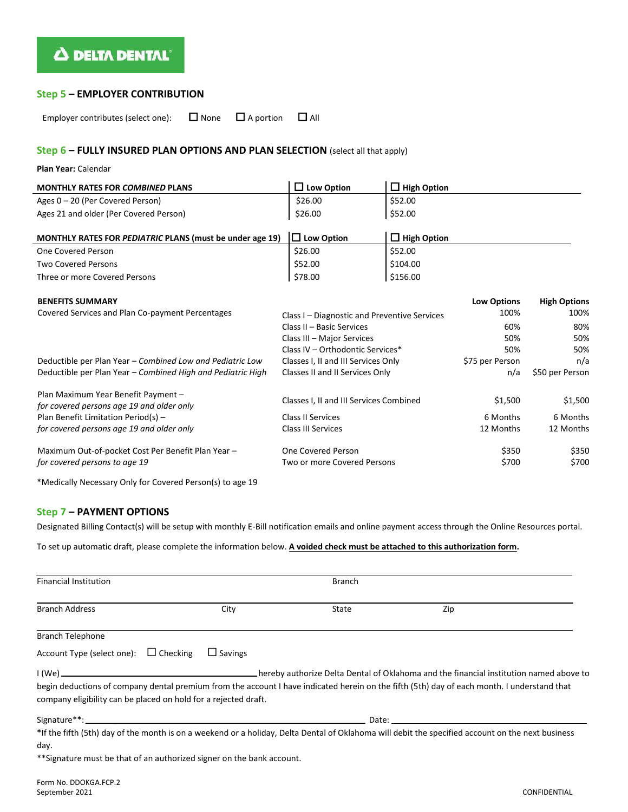# Δ DELTA DENTAL®

### **Step 5 – EMPLOYER CONTRIBUTION**

Employer contributes (select one):  $\Box$  None  $\Box$  A portion  $\Box$  All

## **Step 6 – FULLY INSURED PLAN OPTIONS AND PLAN SELECTION** (select all that apply)

#### **Plan Year:** Calendar

| <b>MONTHLY RATES FOR COMBINED PLANS</b>                  | $\Box$ Low Option                            | $\Box$ High Option |                    |                     |
|----------------------------------------------------------|----------------------------------------------|--------------------|--------------------|---------------------|
| Ages $0 - 20$ (Per Covered Person)                       | \$26.00                                      | \$52.00            |                    |                     |
| Ages 21 and older (Per Covered Person)                   | \$26.00                                      | \$52.00            |                    |                     |
| MONTHLY RATES FOR PEDIATRIC PLANS (must be under age 19) | $\Box$ Low Option                            | $\Box$ High Option |                    |                     |
| One Covered Person                                       | \$26.00                                      | \$52.00            |                    |                     |
| <b>Two Covered Persons</b>                               | \$52.00                                      | \$104.00           |                    |                     |
| Three or more Covered Persons                            | \$78.00                                      | \$156.00           |                    |                     |
| <b>BENEFITS SUMMARY</b>                                  |                                              |                    | <b>Low Options</b> | <b>High Options</b> |
| Covered Services and Plan Co-payment Percentages         | Class I – Diagnostic and Preventive Services |                    | 100%               | 100%                |
|                                                          | Class II - Basic Services                    |                    | 60%                | 80%                 |
|                                                          | Class III - Major Services                   |                    | 50%                | 50%                 |

Deductible per Plan Year – *Combined Low and Pediatric Low* Classes I, II and III Services Only \$75 per Person n/a Deductible per Plan Year – *Combined High and Pediatric High* Classes II and II Services Only n/a \$50 per Person

*for covered persons age 19 and older only* **Classes I, II and III Services Combined** \$1,500 \$1,500 \$1,500 \$1,500

Class II Services Class III Services

Maximum Out-of-pocket Cost Per Benefit Plan Year – Cone Covered Person (3350 \$350 \$350 \$350 \$350 \$350 \$350 \$350 *for covered persons to age 19* Two or more Covered Persons \$700 \$700

Class IV – Orthodontic Services\* 50% 50%

6 Months 12 Months

6 Months 12 Months

\*Medically Necessary Only for Covered Person(s) to age 19

#### **Step 7 – PAYMENT OPTIONS**

Plan Maximum Year Benefit Payment –

Plan Benefit Limitation Period(s) – *for covered persons age 19 and older only*

Designated Billing Contact(s) will be setup with monthly E-Bill notification emails and online payment access through the Online Resources portal.

To set up automatic draft, please complete the information below. **A voided check must be attached to this authorization form.**

| <b>Financial Institution</b>                                           | <b>Branch</b>  |                                                                                                                                                   |                                                                                                                                                                                                                                |  |
|------------------------------------------------------------------------|----------------|---------------------------------------------------------------------------------------------------------------------------------------------------|--------------------------------------------------------------------------------------------------------------------------------------------------------------------------------------------------------------------------------|--|
| <b>Branch Address</b>                                                  | City           | State                                                                                                                                             | Zip                                                                                                                                                                                                                            |  |
| <b>Branch Telephone</b>                                                |                |                                                                                                                                                   |                                                                                                                                                                                                                                |  |
| Account Type (select one): $\Box$ Checking                             | $\Box$ Savings |                                                                                                                                                   |                                                                                                                                                                                                                                |  |
|                                                                        |                |                                                                                                                                                   |                                                                                                                                                                                                                                |  |
| company eligibility can be placed on hold for a rejected draft.        |                | begin deductions of company dental premium from the account I have indicated herein on the fifth (5th) day of each month. I understand that       |                                                                                                                                                                                                                                |  |
|                                                                        |                |                                                                                                                                                   | Date: the contract of the contract of the contract of the contract of the contract of the contract of the contract of the contract of the contract of the contract of the contract of the contract of the contract of the cont |  |
|                                                                        |                | *If the fifth (5th) day of the month is on a weekend or a holiday, Delta Dental of Oklahoma will debit the specified account on the next business |                                                                                                                                                                                                                                |  |
| day.                                                                   |                |                                                                                                                                                   |                                                                                                                                                                                                                                |  |
| ** Signature must be that of an authorized signer on the bank account. |                |                                                                                                                                                   |                                                                                                                                                                                                                                |  |